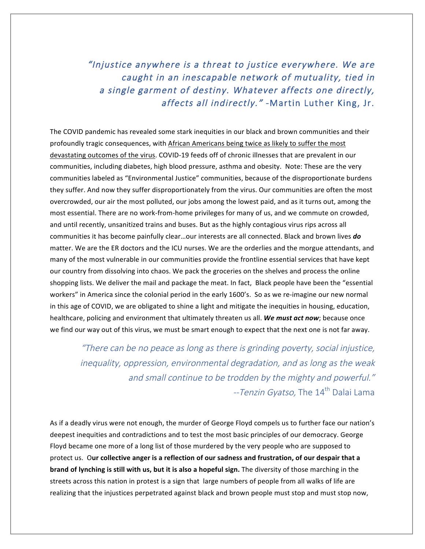"Injustice anywhere is a threat to justice everywhere. We are caught in an inescapable network of mutuality, tied in a single garment of destiny. Whatever affects one directly, affects all indirectly." -Martin Luther King, Jr.

The COVID pandemic has revealed some stark inequities in our black and brown communities and their profoundly tragic consequences, with African Americans being twice as likely to suffer the most devastating outcomes of the virus. COVID-19 feeds off of chronic illnesses that are prevalent in our communities, including diabetes, high blood pressure, asthma and obesity. Note: These are the very communities labeled as "Environmental Justice" communities, because of the disproportionate burdens they suffer. And now they suffer disproportionately from the virus. Our communities are often the most overcrowded, our air the most polluted, our jobs among the lowest paid, and as it turns out, among the most essential. There are no work-from-home privileges for many of us, and we commute on crowded, and until recently, unsanitized trains and buses. But as the highly contagious virus rips across all communities it has become painfully clear...our interests are all connected. Black and brown lives **do** matter. We are the ER doctors and the ICU nurses. We are the orderlies and the morgue attendants, and many of the most vulnerable in our communities provide the frontline essential services that have kept our country from dissolving into chaos. We pack the groceries on the shelves and process the online shopping lists. We deliver the mail and package the meat. In fact, Black people have been the "essential workers" in America since the colonial period in the early 1600's. So as we re-imagine our new normal in this age of COVID, we are obligated to shine a light and mitigate the inequities in housing, education, healthcare, policing and environment that ultimately threaten us all. We must act now; because once we find our way out of this virus, we must be smart enough to expect that the next one is not far away.

"There can be no peace as long as there is grinding poverty, social injustice, inequality, oppression, environmental degradation, and as long as the weak and small continue to be trodden by the mighty and powerful." --Tenzin Gyatso, The 14<sup>th</sup> Dalai Lama

As if a deadly virus were not enough, the murder of George Floyd compels us to further face our nation's deepest inequities and contradictions and to test the most basic principles of our democracy. George Floyd became one more of a long list of those murdered by the very people who are supposed to protect us. Our collective anger is a reflection of our sadness and frustration, of our despair that a **brand of lynching is still with us, but it is also a hopeful sign.** The diversity of those marching in the streets across this nation in protest is a sign that large numbers of people from all walks of life are realizing that the injustices perpetrated against black and brown people must stop and must stop now,